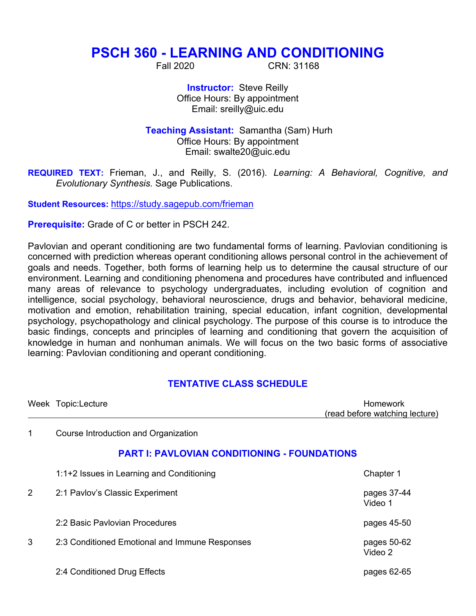# **PSCH 360 - LEARNING AND CONDITIONING**

Fall 2020 CRN: 31168

**Instructor:** Steve Reilly Office Hours: By appointment Email: sreilly@uic.edu

**Teaching Assistant:** Samantha (Sam) Hurh Office Hours: By appointment Email: swalte20@uic.edu

**REQUIRED TEXT:** Frieman, J., and Reilly, S. (2016). *Learning: A Behavioral, Cognitive, and* *Evolutionary Synthesis.* Sage Publications.

**Student Resources:** https://study.sagepub.com/frieman

**Prerequisite:** Grade of C or better in PSCH 242.

Pavlovian and operant conditioning are two fundamental forms of learning. Pavlovian conditioning is concerned with prediction whereas operant conditioning allows personal control in the achievement of goals and needs. Together, both forms of learning help us to determine the causal structure of our environment. Learning and conditioning phenomena and procedures have contributed and influenced many areas of relevance to psychology undergraduates, including evolution of cognition and intelligence, social psychology, behavioral neuroscience, drugs and behavior, behavioral medicine, motivation and emotion, rehabilitation training, special education, infant cognition, developmental psychology, psychopathology and clinical psychology. The purpose of this course is to introduce the basic findings, concepts and principles of learning and conditioning that govern the acquisition of knowledge in human and nonhuman animals. We will focus on the two basic forms of associative learning: Pavlovian conditioning and operant conditioning.

### **TENTATIVE CLASS SCHEDULE**

|   | Week Topic:Lecture                                  | <b>Homework</b><br>(read before watching lecture) |  |
|---|-----------------------------------------------------|---------------------------------------------------|--|
| 1 | Course Introduction and Organization                |                                                   |  |
|   | <b>PART I: PAVLOVIAN CONDITIONING - FOUNDATIONS</b> |                                                   |  |
|   | 1:1+2 Issues in Learning and Conditioning           | Chapter 1                                         |  |
| 2 | 2:1 Pavlov's Classic Experiment                     | pages 37-44<br>Video 1                            |  |
|   | 2:2 Basic Paylovian Procedures                      | pages 45-50                                       |  |
| 3 | 2:3 Conditioned Emotional and Immune Responses      | pages 50-62<br>Video 2                            |  |
|   | 2:4 Conditioned Drug Effects                        | pages 62-65                                       |  |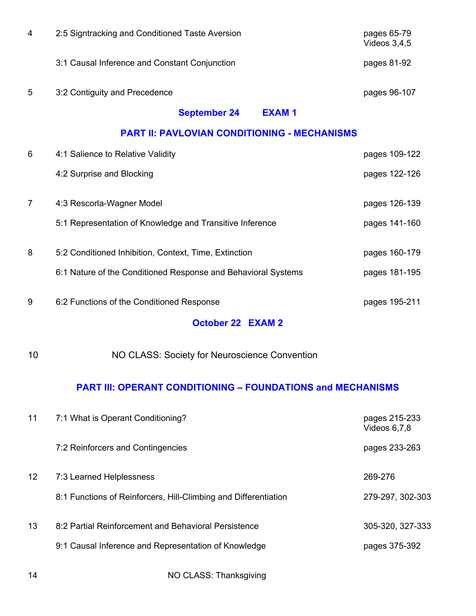| $\overline{4}$                                      | 2:5 Signtracking and Conditioned Taste Aversion               | pages 65-79<br>Videos 3,4,5 |  |  |
|-----------------------------------------------------|---------------------------------------------------------------|-----------------------------|--|--|
|                                                     | 3:1 Causal Inference and Constant Conjunction                 | pages 81-92                 |  |  |
| 5                                                   | 3:2 Contiguity and Precedence                                 | pages 96-107                |  |  |
|                                                     | <b>September 24</b><br><b>EXAM1</b>                           |                             |  |  |
| <b>PART II: PAVLOVIAN CONDITIONING - MECHANISMS</b> |                                                               |                             |  |  |
| 6                                                   | 4:1 Salience to Relative Validity                             | pages 109-122               |  |  |
|                                                     | 4:2 Surprise and Blocking                                     | pages 122-126               |  |  |
| $\overline{7}$                                      | 4:3 Rescorla-Wagner Model                                     | pages 126-139               |  |  |
|                                                     | 5:1 Representation of Knowledge and Transitive Inference      | pages 141-160               |  |  |
| 8                                                   | 5:2 Conditioned Inhibition, Context, Time, Extinction         | pages 160-179               |  |  |
|                                                     | 6:1 Nature of the Conditioned Response and Behavioral Systems | pages 181-195               |  |  |
| 9                                                   | 6:2 Functions of the Conditioned Response                     | pages 195-211               |  |  |
|                                                     | <b>October 22 EXAM 2</b>                                      |                             |  |  |
| 10                                                  | NO CLASS: Society for Neuroscience Convention                 |                             |  |  |

## **PART III: OPERANT CONDITIONING – FOUNDATIONS and MECHANISMS**

| 11                | 7:1 What is Operant Conditioning?                               | pages 215-233<br>Videos $6.7.8$ |
|-------------------|-----------------------------------------------------------------|---------------------------------|
|                   | 7:2 Reinforcers and Contingencies                               | pages 233-263                   |
| $12 \overline{ }$ | 7:3 Learned Helplessness                                        | 269-276                         |
|                   | 8:1 Functions of Reinforcers, Hill-Climbing and Differentiation | 279-297, 302-303                |
| 13                | 8:2 Partial Reinforcement and Behavioral Persistence            | 305-320, 327-333                |
|                   | 9:1 Causal Inference and Representation of Knowledge            | pages 375-392                   |
|                   |                                                                 |                                 |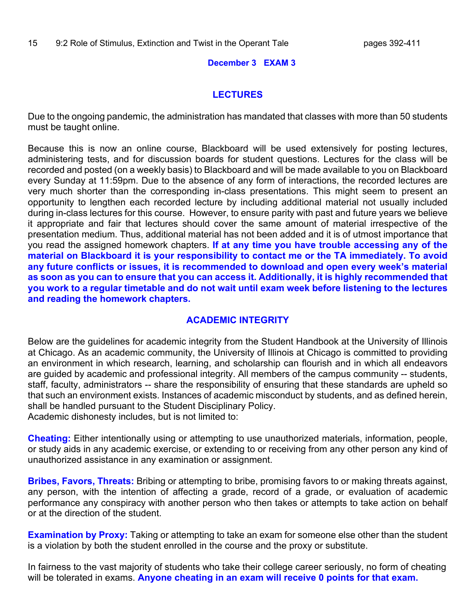#### **December 3 EXAM 3**

#### **LECTURES**

Due to the ongoing pandemic, the administration has mandated that classes with more than 50 students must be taught online.

Because this is now an online course, Blackboard will be used extensively for posting lectures, administering tests, and for discussion boards for student questions. Lectures for the class will be recorded and posted (on a weekly basis) to Blackboard and will be made available to you on Blackboard every Sunday at 11:59pm. Due to the absence of any form of interactions, the recorded lectures are very much shorter than the corresponding in-class presentations. This might seem to present an opportunity to lengthen each recorded lecture by including additional material not usually included during in-class lectures for this course. However, to ensure parity with past and future years we believe it appropriate and fair that lectures should cover the same amount of material irrespective of the presentation medium. Thus, additional material has not been added and it is of utmost importance that you read the assigned homework chapters. **If at any time you have trouble accessing any of the material on Blackboard it is your responsibility to contact me or the TA immediately. To avoid any future conflicts or issues, it is recommended to download and open every week's material as soon as you can to ensure that you can access it. Additionally, it is highly recommended that you work to a regular timetable and do not wait until exam week before listening to the lectures and reading the homework chapters.**

#### **ACADEMIC INTEGRITY**

Below are the guidelines for academic integrity from the Student Handbook at the University of Illinois at Chicago. As an academic community, the University of Illinois at Chicago is committed to providing an environment in which research, learning, and scholarship can flourish and in which all endeavors are guided by academic and professional integrity. All members of the campus community -- students, staff, faculty, administrators -- share the responsibility of ensuring that these standards are upheld so that such an environment exists. Instances of academic misconduct by students, and as defined herein, shall be handled pursuant to the Student Disciplinary Policy. Academic dishonesty includes, but is not limited to:

**Cheating:** Either intentionally using or attempting to use unauthorized materials, information, people, or study aids in any academic exercise, or extending to or receiving from any other person any kind of unauthorized assistance in any examination or assignment.

**Bribes, Favors, Threats:** Bribing or attempting to bribe, promising favors to or making threats against, any person, with the intention of affecting a grade, record of a grade, or evaluation of academic performance any conspiracy with another person who then takes or attempts to take action on behalf or at the direction of the student.

**Examination by Proxy:** Taking or attempting to take an exam for someone else other than the student is a violation by both the student enrolled in the course and the proxy or substitute.

In fairness to the vast majority of students who take their college career seriously, no form of cheating will be tolerated in exams. **Anyone cheating in an exam will receive 0 points for that exam.**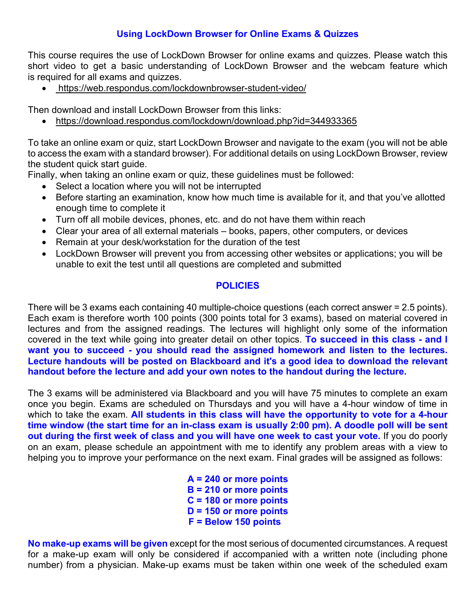## **Using LockDown Browser for Online Exams & Quizzes**

This course requires the use of LockDown Browser for online exams and quizzes. Please watch this short video to get a basic understanding of LockDown Browser and the webcam feature which is required for all exams and quizzes.

• https://web.respondus.com/lockdownbrowser-student-video/

Then download and install LockDown Browser from this links:

• https://download.respondus.com/lockdown/download.php?id=344933365

To take an online exam or quiz, start LockDown Browser and navigate to the exam (you will not be able to access the exam with a standard browser). For additional details on using LockDown Browser, review the student quick start quide.

Finally, when taking an online exam or quiz, these guidelines must be followed:

- Select a location where you will not be interrupted
- Before starting an examination, know how much time is available for it, and that you've allotted enough time to complete it
- Turn off all mobile devices, phones, etc. and do not have them within reach
- Clear your area of all external materials books, papers, other computers, or devices
- Remain at your desk/workstation for the duration of the test
- LockDown Browser will prevent you from accessing other websites or applications; you will be unable to exit the test until all questions are completed and submitted

#### **POLICIES**

There will be 3 exams each containing 40 multiple-choice questions (each correct answer = 2.5 points). Each exam is therefore worth 100 points (300 points total for 3 exams), based on material covered in lectures and from the assigned readings. The lectures will highlight only some of the information covered in the text while going into greater detail on other topics. **To succeed in this class - and I want you to succeed - you should read the assigned homework and listen to the lectures. Lecture handouts will be posted on Blackboard and it's a good idea to download the relevant handout before the lecture and add your own notes to the handout during the lecture.**

The 3 exams will be administered via Blackboard and you will have 75 minutes to complete an exam once you begin. Exams are scheduled on Thursdays and you will have a 4-hour window of time in which to take the exam. **All students in this class will have the opportunity to vote for a 4-hour time window (the start time for an in-class exam is usually 2:00 pm). A doodle poll will be sent out during the first week of class and you will have one week to cast your vote.** If you do poorly on an exam, please schedule an appointment with me to identify any problem areas with a view to helping you to improve your performance on the next exam. Final grades will be assigned as follows:

> **A = 240 or more points B = 210 or more points C = 180 or more points D = 150 or more points F = Below 150 points**

**No make-up exams will be given** except for the most serious of documented circumstances. A request for a make-up exam will only be considered if accompanied with a written note (including phone number) from a physician. Make-up exams must be taken within one week of the scheduled exam